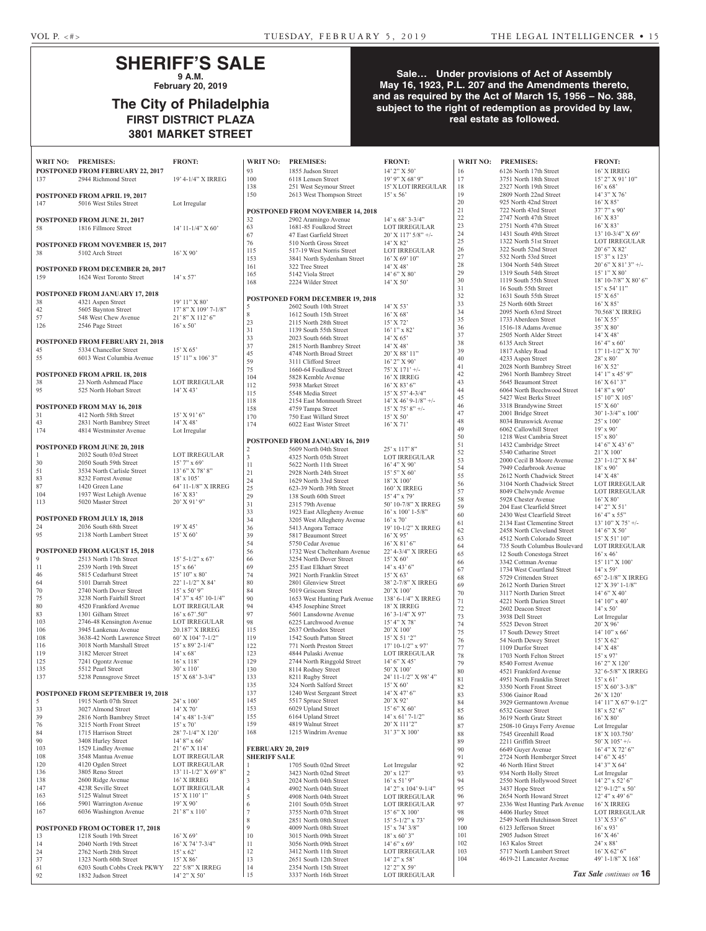## **SHERIFF'S SALE 9 A.M.**

**February 20, 2019**

# **The City of Philadelphia FIRST DISTRICT PLAZA 3801 MARKET STREET**

## **Sale… Under provisions of Act of Assembly May 16, 1923, P.L. 207 and the Amendments thereto, and as required by the Act of March 15, 1956 – No. 388,**  subject to the right of redemption as provided by law, **real estate as followed.**

| <b>WRIT NO:</b> | <b>PREMISES:</b>                                            | <b>FRONT:</b>                                  | <b>WRIT NO:</b>          | <b>PREMISES:</b>                                       | <b>FRONT:</b>                          | <b>WRIT NO:</b> | <b>PREMISES:</b>                                           | <b>FRONT:</b>                      |
|-----------------|-------------------------------------------------------------|------------------------------------------------|--------------------------|--------------------------------------------------------|----------------------------------------|-----------------|------------------------------------------------------------|------------------------------------|
|                 | POSTPONED FROM FEBRUARY 22, 2017<br>2944 Richmond Street    | 19' 4-1/4" X IRREG                             | 93<br>100                | 1855 Judson Street<br>6118 Lensen Street               | 14' 2" X 50'<br>19' 9" X 68' 9"        | 16<br>17        | 6126 North 17th Street<br>3751 North 18th Street           | 16' X IRF<br>$15'$ 2" X 9          |
| 137             |                                                             |                                                | 138                      | 251 West Seymour Street                                | 15' X LOT IRREGULAR                    | 18              | 2327 North 19th Street                                     | $16'$ x 68'                        |
|                 | POSTPONED FROM APRIL 19, 2017                               |                                                | 150                      | 2613 West Thompson Street                              | $15' \times 56'$                       | 19              | 2809 North 22nd Street                                     | $14'3''$ X                         |
| 147             | 5016 West Stiles Street                                     | Lot Irregular                                  |                          |                                                        |                                        | $20\,$          | 925 North 42nd Street                                      | $16'$ X $85'$                      |
|                 |                                                             |                                                |                          | POSTPONED FROM NOVEMBER 14, 2018                       |                                        | 21              | 722 North 43rd Street                                      | $37'7''$ x 9                       |
|                 | POSTPONED FROM JUNE 21, 2017                                |                                                | 32                       | 2902 Aramingo Avenue                                   | $14'$ x 68' 3-3/4"                     | $22\,$          | 2747 North 47th Street                                     | $16'$ X 83'                        |
| 58              | 1816 Fillmore Street                                        | $14'$ 11-1/4" X 60'                            | 63<br>67                 | 1681-85 Foulkrod Street                                | <b>LOT IRREGULAR</b>                   | $23\,$<br>24    | 2751 North 47th Street<br>1431 South 49th Street           | $16'$ X 83'<br>$13'$ 10-3/4        |
|                 |                                                             |                                                | 76                       | 47 East Garfield Street<br>510 North Gross Street      | $20'$ X 117' 5/8" +/-<br>$14'$ X 82'   | 25              | 1322 North 51st Street                                     | <b>LOT IRR</b>                     |
| 38              | <b>POSTPONED FROM NOVEMBER 15, 2017</b><br>5102 Arch Street | $16'$ X 90'                                    | 115                      | 517-19 West Norris Street                              | <b>LOT IRREGULAR</b>                   | 26              | 322 South 52nd Street                                      | $20'6''$ X 8                       |
|                 |                                                             |                                                | 153                      | 3841 North Sydenham Street                             | $16'$ X 69' $10''$                     | 27              | 532 North 53rd Street                                      | $15'3''$ x 1                       |
|                 | POSTPONED FROM DECEMBER 20, 2017                            |                                                | 161                      | 322 Tree Street                                        | $14'$ X 48'                            | 28              | 1304 North 54th Street                                     | $20'6''$ X 8                       |
| 159             | 1624 West Toronto Street                                    | $14'$ x 57'                                    | 165                      | 5142 Viola Street                                      | 14' 6'' X 80'                          | 29              | 1319 South 54th Street                                     | $15'1''$ X 8                       |
|                 |                                                             |                                                | 168                      | 2224 Wilder Street                                     | 14' X 50'                              | 30<br>31        | 1119 South 55th Street<br>16 South 55th Street             | $18'$ 10-7/8<br>$15' \times 54'$   |
|                 | POSTPONED FROM JANUARY 17, 2018                             |                                                |                          |                                                        |                                        | 32              | 1631 South 55th Street                                     | 15' X 65'                          |
| 38              | 4321 Aspen Street                                           | $19'11''$ X 80'                                | 5                        | POSTPONED FORM DECEMBER 19, 2018                       | 14' X 53'                              | 33              | 25 North 60th Street                                       | 16' X 85'                          |
| 42              | 5605 Baynton Street                                         | $17'$ 8" X $109'$ 7- $1/8"$                    | 8                        | 2602 South 10th Street<br>1612 South 15th Street       | $16'$ X 68'                            | 34              | 2095 North 63rrd Street                                    | 70.568'X                           |
| 57              | 548 West Chew Avenue                                        | $21'8''$ X $112'6''$                           | 23                       | 2115 North 28th Street                                 | $15'$ X 72'                            | 35              | 1733 Aberdeen Street                                       | $16'$ X 55'                        |
| 126             | 2546 Page Street                                            | $16'$ x 50'                                    | 31                       | 1139 South 55th Street                                 | $16'1''$ x 82'                         | 36              | 1516-18 Adams Avenue                                       | 35' X 80'                          |
|                 | <b>POSTPONED FROM FEBRUARY 21, 2018</b>                     |                                                | 33                       | 2023 South 66th Street                                 | $14'$ X 65'                            | 37<br>38        | 2505 North Alder Street                                    | 14' X 48'                          |
| 45              | 5334 Chancellor Street                                      | 15' X 65'                                      | 37                       | 2815 North Bambrey Street                              | $14'$ X 48'                            | 39              | 6135 Arch Street<br>1817 Ashley Road                       | $16' 4''$ x 6<br>$17' 11 - 1/2$    |
| 55              | 6013 West Columbia Avenue                                   | $15'$ 11" x 106' 3"                            | 45                       | 4748 North Broad Street                                | $20'$ X 88' 11"                        | 40              | 4233 Aspen Street                                          | 28' x 80'                          |
|                 |                                                             |                                                | 59<br>75                 | 3111 Clifford Street<br>1660-64 Foulkrod Street        | $16'$ 2" X 90'<br>75' X 171' +/-       | 41              | 2028 North Bambrey Street                                  | $16'$ X 52'                        |
|                 | POSTPONED FROM APRIL 18, 2018                               |                                                | 104                      | 5828 Kemble Avenue                                     | 16' X IRREG                            | 42              | 2961 North Bambrey Street                                  | $14'1''$ x 4                       |
| 38              | 23 North Ashmead Place                                      | <b>LOT IRREGULAR</b>                           | 112                      | 5938 Market Street                                     | $16'$ X 83' 6"                         | $43$            | 5645 Beaumont Street                                       | $16'$ X 61'                        |
| 95              | 525 North Hobart Street                                     | $14'$ X 43'                                    | 115                      | 5548 Media Street                                      | $15'$ X 57' 4-3/4"                     | 44              | 6064 North Beechwood Street                                | $14'8''$ x 9                       |
|                 |                                                             |                                                | 118                      | 2154 East Monmouth Street                              | $14'$ X 46' 9-1/8" +/-                 | 45<br>46        | 5427 West Berks Street                                     | 15' 10'' X                         |
| 31              | POSTPONED FROM MAY 16, 2018                                 | $15'$ X 91' 6"                                 | 158                      | 4759 Tampa Street                                      | $15'$ X 75' 8" +/-                     | 47              | 3318 Brandywine Street<br>2001 Bridge Street               | $15'$ X 60'<br>$30' 1 - 3/4'$      |
| 43              | 412 North 58th Street<br>2831 North Bambrey Street          | 14' X 48'                                      | 170                      | 750 East Willard Street                                | 15' X 50'                              | 48              | 8034 Brunswick Avenue                                      | $25'$ x 100                        |
| 174             | 4814 Westminster Avenue                                     | Lot Irregular                                  | 174                      | 6022 East Wister Street                                | $16'$ X $71'$                          | 49              | 6062 Callowhill Street                                     | $19'$ x 90'                        |
|                 |                                                             |                                                |                          | POSTPONED FROM JANUARY 16, 2019                        |                                        | 50              | 1218 West Cambria Street                                   | $15' \times 80'$                   |
|                 | POSTPONED FROM JUNE 20, 2018                                |                                                | $\overline{2}$           | 5609 North 04th Street                                 | 25' x 117' 8"                          | 51              | 1432 Cambridge Street                                      | $14'6''$ X $4$                     |
| 1               | 2032 South 03rd Street                                      | <b>LOT IRREGULAR</b>                           | $\overline{3}$           | 4325 North 05th Street                                 | LOT IRREGULAR                          | 52<br>53        | 5340 Catharine Street                                      | $21'$ X 100                        |
| 30              | 2050 South 59th Street                                      | $15'$ 7" x 69"                                 | 11                       | 5622 North 11th Street                                 | 16' 4'' X 90'                          | 54              | 2000 Cecil B Moore Avenue<br>7949 Cedarbrook Avenue        | $23' 1 - 1/2'$<br>$18'$ x 90'      |
| 51              | 3534 North Carlisle Street                                  | $13'6''$ X 78' 8"                              | 21                       | 2928 North 24th Street                                 | $15'$ 5" X 60"                         | 55              | 2612 North Chadwick Street                                 | 14' X 48'                          |
| 83<br>87        | 8232 Forrest Avenue<br>1420 Green Lane                      | $18' \times 105'$<br>64' 11-1/8" X IRREG       | 24                       | 1629 North 33rd Street                                 | $18'$ X $100'$                         | 56              | 3104 North Chadwick Street                                 | <b>LOT IRR</b>                     |
| 104             | 1937 West Lehigh Avenue                                     | 16' X 83'                                      | 25<br>29                 | 623-39 North 39th Street                               | 160' X IRREG<br>15' 4''  x 79'         | 57              | 8049 Chelwynde Avenue                                      | <b>LOT IRR</b>                     |
| 113             | 5020 Master Street                                          | $20'$ X 91' 9"                                 | 31                       | 138 South 60th Street<br>2315 79th Avenue              | 50' 10-7/8" X IRREG                    | 58              | 5928 Chester Avenue                                        | 16' X 80'                          |
|                 |                                                             |                                                | 33                       | 1923 East Allegheny Avenue                             | $16'$ x $100'$ 1-5/8"                  | 59              | 204 East Clearfield Street                                 | $14'$ 2" X :<br>$16' 4''$ x 5      |
|                 | POSTPONED FROM JULY 18, 2018                                |                                                | 34                       | 3205 West Allegheny Avenue                             | $16'$ x $70'$                          | 60<br>61        | 2430 West Clearfield Street<br>2134 East Clementine Street | 13' 10'' X                         |
| 24              | 2036 South 68th Street                                      | 19' X 45'                                      | 36                       | 5413 Angora Terrace                                    | 19' 10-1/2" X IRREG                    | 62              | 2458 North Cleveland Street                                | $14'6''$ X :                       |
| 95              | 2138 North Lambert Street                                   | 15' X 60'                                      | 39                       | 5817 Beaumont Street                                   | 16' X 95'                              | 63              | 4512 North Colorado Street                                 | $15'$ X 51'                        |
|                 | <b>POSTPONED FROM AUGUST 15, 2018</b>                       |                                                | 54<br>56                 | 5750 Cedar Avenue<br>1732 West Cheltenham Avenue       | $16'$ X $81'$ 6"<br>22' 4-3/4" X IRREG | 64              | 735 South Columbus Boulevard                               | <b>LOT IRR</b>                     |
| 9               | 2513 North 17th Street                                      | $15'$ 5-1/2" x 67"                             | 66                       | 3254 North Dover Street                                | 15' X 60'                              | 65              | 12 South Conestoga Street                                  | $16'$ x 46'                        |
| 11              | 2539 North 19th Street                                      | $15'$ x 66'                                    | 69                       | 255 East Elkhart Street                                | $14'$ x $43'$ 6"                       | 66<br>67        | 3342 Cottman Avenue<br>1734 West Courtland Street          | 15' 11'' X<br>$14'$ x 59'          |
| 46              | 5815 Cedarhurst Street                                      | $15'10''$ x 80'                                | 74                       | 3921 North Franklin Street                             | 15' X 63'                              | 68              | 5729 Crittenden Street                                     | $65'$ 2-1/8'                       |
| 64              | 5101 Darrah Street                                          | 22' 1-1/2" X 84'                               | 80                       | 2801 Glenview Street                                   | 38' 2-7/8" X IRREG                     | 69              | 2612 North Darien Street                                   | 12' X 39'                          |
| 70              | 2740 North Dover Street                                     | $15'$ x 50' 9"                                 | 84                       | 5019 Griscom Street                                    | 20' X 100'                             | 70              | 3117 North Darien Street                                   | $14'6''$ X $4$                     |
| 75<br>80        | 3238 North Fairhill Street<br>4520 Frankford Avenue         | $14'$ 3" x 45' 10-1/4"<br><b>LOT IRREGULAR</b> | 90<br>94                 | 1653 West Hunting Park Avenue<br>4345 Josephine Street | 138' 6-1/4" X IRREG<br>18' X IRREG     | 71              | 4221 North Darien Street                                   | 14' 10'' x                         |
| 83              | 1301 Gilham Street                                          | $16'$ x 67'.50"                                | 97                       | 5601 Lansdowne Avenue                                  | $16'$ 3- $1/4''$ X 97'                 | 72              | 2602 Deacon Street                                         | $14' \times 50'$                   |
| 103             | 2746-48 Kensington Avenue                                   | <b>LOT IRREGULAR</b>                           | 98                       | 6225 Larchwood Avenue                                  | $15'$ 4" X 78'                         | 73<br>74        | 3938 Dell Street<br>5525 Devon Street                      | Lot Irregu<br>20' X 96'            |
| 106             | 3945 Lankenau Avenue                                        | 20.187' X IRREG                                | 115                      | 2637 Orthodox Street                                   | 20' X 100'                             | 75              | 17 South Dewey Street                                      | 14' 10'' x                         |
| 108             | 3638-42 North Lawrence Street                               | 60' X 104' 7-1/2"                              | 119                      | 1542 South Patton Street                               | $15'$ X 51 '2"                         | 76              | 54 North Dewey Street                                      | 15' X 62'                          |
| 116             | 3018 North Marshall Street                                  | $15'$ x 89' 2-1/4"                             | 122                      | 771 North Preston Street                               | $17'$ 10-1/2" x 97'                    | 77              | 1109 Durfor Street                                         | $14'$ X 48'                        |
| 119<br>125      | 3182 Mercer Street                                          | $14'$ x 68'<br>$16'$ x $118'$                  | 123                      | 4844 Pulaski Avenue                                    | LOT IRREGULAR                          | 78              | 1703 North Felton Street                                   | $15'$ x 97'                        |
| 135             | 7241 Ogontz Avenue<br>5512 Pearl Street                     | $30'$ x $110'$                                 | 129<br>130               | 2744 North Ringgold Street<br>8114 Rodney Street       | $14'6''$ X 45'<br>50' X 100'           | 79              | 8540 Forrest Avenue                                        | 16' 2" X                           |
| 137             | 5238 Pennsgrove Street                                      | $15'$ X 68' 3-3/4"                             | 133                      | 8211 Rugby Street                                      | 24' 11-1/2" X 98' 4"                   | 80<br>81        | 4521 Frankford Avenue<br>4951 North Franklin Street        | $32' 6 - 5/8'$<br>$15' \times 61'$ |
|                 |                                                             |                                                | 135                      | 324 North Salford Street                               | $15'$ X 60'                            | 82              | 3350 North Front Street                                    | 15' X 60'                          |
|                 | POSTPONED FROM SEPTEMBER 19, 2018                           |                                                | 137                      | 1240 West Sergeant Street                              | $14'$ X 47' 6"                         | 83              | 5306 Gainor Road                                           | 26' X 120                          |
| 5               | 1915 North 07th Street                                      | 24' x 100'                                     | 145                      | 5517 Spruce Street                                     | $20'$ X 92'                            | 84              | 3929 Germantown Avenue                                     | 14' 11'' X                         |
| 33              | 3027 Almond Street                                          | 14' X 70'                                      | 153                      | 6029 Upland Street                                     | 15' 6'' X 60'                          | 85              | 6532 Gesner Street                                         | $18'$ x 52'                        |
| 39              | 2816 North Bambrey Street                                   | $14'$ x 48' 1-3/4"                             | 155                      | 6164 Upland Street                                     | $14'$ x 61' 7-1/2"                     | 86              | 3619 North Gratz Street                                    | $16'$ X $80'$                      |
| 76<br>84        | 3215 North Front Street                                     | $15'$ x 70'<br>28' 7-1/4" X 120'               | 159<br>168               | 4819 Walnut Street<br>1215 Windrim Avenue              | 20' X 111'2"<br>31' 3" X 100'          | 87              | 2508-10 Grays Ferry Avenue                                 | Lot Irregu                         |
| 90              | 1715 Harrison Street<br>3408 Hurley Street                  | $14'8''$ x 66'                                 |                          |                                                        |                                        | $88\,$<br>89    | 7545 Greenhill Road<br>2211 Griffith Street                | 18' X 103<br>50' X 105             |
| 103             | 1529 Lindley Avenue                                         | $21'6''$ X 114'                                | <b>FEBRUARY 20, 2019</b> |                                                        |                                        | 90              | 6649 Guyer Avenue                                          | 16' 4'' X'                         |
| 108             | 3548 Mantua Avenue                                          | <b>LOT IRREGULAR</b>                           | <b>SHERIFF SALE</b>      |                                                        |                                        | 91              | 2724 North Hemberger Street                                | $14'6''$ X $4$                     |
| 120             | 4120 Ogden Street                                           | <b>LOT IRREGULAR</b>                           | $\mathbf{1}$             | 1705 South 02nd Street                                 | Lot Irregular                          | 92              | 46 North Hirst Street                                      | $14'3''$ X (                       |
| 136             | 3805 Reno Street                                            | 13' 11-1/2" X 69' 8"                           | $\overline{2}$           | 3423 North 02nd Street                                 | $20'$ x $127'$                         | 93              | 934 North Holly Street                                     | Lot Irregu                         |
| 138             | 2600 Ridge Avenue                                           | 16' X IRREG                                    | $\overline{3}$           | 2024 North 04th Street                                 | $16'$ x 51' 9"                         | 94              | 2550 North Hollywood Street                                | $14'$ 2" x 5                       |
| 147<br>163      | 423R Seville Street<br>5125 Walnut Street                   | <b>LOT IRREGULAR</b><br>$15'$ X $110'$ 1"      | $\overline{4}$           | 4902 North 04th Street                                 | $14'$ 2" x $104'$ 9- $1/4"$            | 95              | 3437 Hope Street                                           | $12'$ 9- $1/2'$                    |
| 166             | 5901 Warrington Avenue                                      | 19' X 90'                                      | 5<br>6                   | 4908 North 04th Street                                 | LOT IRREGULAR                          | 96<br>97        | 2654 North Howard Street<br>2336 West Hunting Park Avenue  | $12' 4''$ x 4<br>$16'$ X IRF       |
| 167             | 6036 Washington Avenue                                      | $21'8''$ x 110'                                | $\overline{7}$           | 2101 South 05th Street<br>3755 North 07th Street       | LOT IRREGULAR<br>15' 6" X 100'         | 98              | 4406 Hurley Street                                         | <b>LOT IRR</b>                     |
|                 |                                                             |                                                | 8                        | 2851 North 08th Street                                 | $15'$ 5-1/2" x 73'                     | 99              | 2549 North Hutchinson Street                               | $13'$ X 53'                        |
|                 | POSTPONED FROM OCTOBER 17, 2018                             |                                                | 9                        | 4009 North 08th Street                                 | $15'$ x 74' $3/8''$                    | 100             | 6123 Jefferson Street                                      | $16'$ x 93'                        |
| 13              | 1218 South 19th Street                                      | $16'$ X 69'                                    | 10                       | 3015 North 09th Street                                 | $18'$ x 60' 3"                         | 101             | 2905 Judson Street                                         | $16'$ X 46'                        |
| 14              | 2040 North 19th Street                                      | $16'$ X 74' 7-3/4"                             | 11                       | 3056 North 09th Street                                 | $14'6''$ x 69'                         | 102             | 163 Kalos Street                                           | 24' x 88'                          |
| 24              | 2762 North 28th Street                                      | $15' \times 62'$                               | 12                       | 3412 North 11th Street                                 | LOT IRREGULAR                          | 103             | 5717 North Lambert Street                                  | $16'$ X 62'                        |
| 37              | 1323 North 60th Street                                      | 15' X 86'                                      | 13                       | 2651 South 12th Street                                 | $14'$ 2" x 58'                         | 104             | 4619-21 Lancaster Avenue                                   | $49' 1 - 1/8'$                     |
| 61<br>92        | 6203 South Cobbs Creek PKWY<br>1832 Judson Street           | 22' 5/8" X IRREG<br>14' 2" X 50'               | 14<br>15                 | 2354 North 15th Street<br>3337 North 16th Street       | 12' 2" X 59'<br>LOT IRREGULAR          |                 |                                                            | Tax Sale contin                    |
|                 |                                                             |                                                |                          |                                                        |                                        |                 |                                                            |                                    |

| 93                | 1855 Judson Street               | $14'$ 2" X 50"                               | 16              |
|-------------------|----------------------------------|----------------------------------------------|-----------------|
| 100               | 6118 Lensen Street               | $19'$ 9" X 68' 9"                            | 17              |
| 138               | 251 West Seymour Street          | 15' X LOT IRREGULAR                          | 18              |
| 150               | 2613 West Thompson Street        | $15' \times 56'$                             | 19              |
|                   |                                  |                                              | 20              |
|                   | POSTPONED FROM NOVEMBER 14, 2018 |                                              | 21              |
| 32                | 2902 Aramingo Avenue             | $14'$ x 68' 3-3/4"                           | 22              |
| 63                | 1681-85 Foulkrod Street          | <b>LOT IRREGULAR</b>                         | 23              |
| 67                | 47 East Garfield Street          | $20'$ X 117' $5/8''$ +/-                     | 24              |
| 76                | 510 North Gross Street           | 14' X 82'                                    | 25              |
| 115               | 517-19 West Norris Street        | LOT IRREGULAR                                | 26              |
| 153               | 3841 North Sydenham Street       | $16'$ X 69' $10''$                           | 27              |
| 161               | 322 Tree Street                  | $14'$ X 48'                                  | 28              |
| 165               | 5142 Viola Street                | 14' 6'' X 80'                                | 29              |
| 168               | 2224 Wilder Street               | $14'$ X 50'                                  | 30              |
|                   |                                  |                                              | 31              |
|                   |                                  |                                              | 32              |
|                   | POSTPONED FORM DECEMBER 19, 2018 |                                              | 33              |
| 5                 | 2602 South 10th Street           | $14'$ X 53'                                  | 34              |
| 8                 | 1612 South 15th Street           | $16'$ X 68'                                  | 35              |
| 23                | 2115 North 28th Street           | 15' X 72'                                    | 36              |
| 31                | 1139 South 55th Street           | $16'1''$ x 82'                               | 37              |
| 33                | 2023 South 66th Street           | $14'$ X 65'                                  | 38              |
| 37                | 2815 North Bambrey Street        | $14'$ X 48'                                  |                 |
| 45                | 4748 North Broad Street          | 20' X 88' 11"                                | 39              |
| 59                | 3111 Clifford Street             | $16'$ 2" X 90'                               | 40              |
| 75                | 1660-64 Foulkrod Street          | $75'$ X $171'$ +/-                           | 41              |
| 104               | 5828 Kemble Avenue               | 16' X IRREG                                  | 42              |
| 112               | 5938 Market Street               | $16'$ X 83' 6"                               | 43              |
| 115               | 5548 Media Street                | $15'$ X 57' 4-3/4"                           | 44              |
| 118               | 2154 East Monmouth Street        | $14'$ X 46' 9-1/8" +/-                       | 45              |
| 158               | 4759 Tampa Street                | $15'$ X 75' 8" +/-                           | 46              |
|                   |                                  |                                              | 47              |
| 170               | 750 East Willard Street          | $15'$ X 50'                                  | 48              |
| 174               | 6022 East Wister Street          | $16'$ X 71'                                  | 49              |
|                   |                                  |                                              | 50              |
|                   | POSTPONED FROM JANUARY 16, 2019  |                                              | 51              |
| 2                 | 5609 North 04th Street           | $25'$ x $117'$ 8"                            | 52              |
| 3                 | 4325 North 05th Street           | LOT IRREGULAR                                | 53              |
| 11                | 5622 North 11th Street           | 16' 4" X 90'                                 | 54              |
| 21                | 2928 North 24th Street           | $15'$ 5" X 60"                               | 55              |
| 24                | 1629 North 33rd Street           | 18' X 100'                                   | 56              |
| 25                | 623-39 North 39th Street         | 160' X IRREG                                 |                 |
| 29                | 138 South 60th Street            | $15' 4''$ x 79'                              | 57              |
| 31                | 2315 79th Avenue                 | 50' 10-7/8" X IRREG                          | 58              |
| 33                | 1923 East Allegheny Avenue       | $16'$ x $100'$ 1-5/8"                        | 59              |
| 34                | 3205 West Allegheny Avenue       | $16'$ x 70'                                  | 60              |
| 36                | 5413 Angora Terrace              | 19' 10-1/2" X IRREG                          | 61              |
| 39                | 5817 Beaumont Street             | $16'$ X 95'                                  | 62              |
| 54                | 5750 Cedar Avenue                | $16'$ X $81'$ 6"                             | 63              |
| 56                | 1732 West Cheltenham Avenue      | 22' 4-3/4" X IRREG                           | 64              |
|                   |                                  |                                              | 65              |
| 66                | 3254 North Dover Street          | 15' X 60'                                    | 66              |
| 69                | 255 East Elkhart Street          | $14'$ x $43'$ 6"                             | 67              |
| 74                | 3921 North Franklin Street       | 15' X 63'                                    | 68              |
| 80                | 2801 Glenview Street             | 38' 2-7/8" X IRREG                           | 69              |
| 84                | 5019 Griscom Street              | 20' X 100'                                   | 70              |
| 90                | 1653 West Hunting Park Avenue    | 138' 6-1/4" X IRREG                          | 71              |
| 94                | 4345 Josephine Street            | 18' X IRREG                                  | 72              |
| 97                | 5601 Lansdowne Avenue            | $16'$ 3- $1/4''$ X 97'                       | 73              |
| 98                | 6225 Larchwood Avenue            | $15^\circ\,4^{\prime\prime}\,\mathrm{X}$ 78' | 74              |
| 115               | 2637 Orthodox Street             | $20'$ X $100'$                               | 75              |
| 119               | 1542 South Patton Street         | 15' X 51 '2"                                 | 76              |
| 122               | 771 North Preston Street         | $17'$ 10-1/2" x 97'                          | 77              |
| 123               | 4844 Pulaski Avenue              | LOT IRREGULAR                                | 78              |
| 129               | 2744 North Ringgold Street       | $14'6''$ X 45'                               |                 |
| 130               | 8114 Rodney Street               | 50' X 100'                                   | 79              |
| 133               | 8211 Rugby Street                | 24' 11-1/2" X 98' 4"                         | 80              |
| 135               | 324 North Salford Street         | $15'$ X 60'                                  | 81              |
|                   |                                  |                                              | 82              |
| 137               | 1240 West Sergeant Street        | $14'$ X 47' 6"                               | 83              |
| 145               | 5517 Spruce Street               | 20' X 92'                                    | 84              |
| 153               | 6029 Upland Street               | 15' 6'' X 60'                                | 85              |
| 155               | 6164 Upland Street               | $14'$ x 61' 7-1/2"                           | 86              |
| 159               | 4819 Walnut Street               | 20' X 111'2"                                 | 87              |
| 168               | 1215 Windrim Avenue              | 31' 3" X 100'                                | 88              |
|                   |                                  |                                              | 89              |
| FEBRUARY 20, 2019 |                                  |                                              | 90              |
| SHERIFF SALE      |                                  |                                              | 91              |
| 1                 | 1705 South 02nd Street           | Lot Irregular                                | 92              |
| 2                 | 3423 North 02nd Street           | 20' x 127'                                   | 93              |
| 3                 | 2024 North 04th Street           | $16'$ x 51' 9"                               | 94              |
| 4                 | 4902 North 04th Street           | $14'$ 2" x $104'$ 9- $1/4$ "                 | 95              |
| 5                 | 4908 North 04th Street           | <b>LOT IRREGULAR</b>                         | 96              |
| 6                 | 2101 South 05th Street           | <b>LOT IRREGULAR</b>                         | 97              |
| 7                 | 3755 North 07th Street           | 15' 6'' X 100'                               | 98              |
| 8                 | 2851 North 08th Street           | $15'$ 5-1/2" x 73'                           | 99              |
|                   |                                  |                                              |                 |
| 9                 | 4009 North 08th Street           | $15'$ x 74' $3/8"$                           | 100             |
| 10                | 3015 North 09th Street           | $18'$ x 60' 3"                               | $10^{\circ}$    |
| 11                | 3056 North 09th Street           | $14'6''$ x 69'                               | 102             |
| 12                | 3412 North 11th Street           | <b>LOT IRREGULAR</b>                         | 10 <sup>°</sup> |
| 13                | 2651 South 12th Street           | $14'$ 2" x 58'                               | 10 <sup>2</sup> |
| 14                | 2354 North 15th Street           | 12' 2" X 59'                                 |                 |

| WRIT NO:   | <b>PREMISES:</b>                                         | <b>FRONT:</b>                        |
|------------|----------------------------------------------------------|--------------------------------------|
| 16         | 6126 North 17th Street                                   | 16' X IRREG                          |
| 17         | 3751 North 18th Street                                   | 15' 2" X 91' 10"                     |
| 18         | 2327 North 19th Street                                   | $16'$ x 68'                          |
| 19         | 2809 North 22nd Street                                   | $14'3''$ X 76'                       |
| 20         | 925 North 42nd Street                                    | 16' X 85'                            |
| 21         | 722 North 43rd Street                                    | 37' 7" x 90'                         |
| 22         | 2747 North 47th Street                                   | $16'$ X 83'                          |
| 23         | 2751 North 47th Street                                   | $16'$ X 83'<br>13' 10-3/4" X 69'     |
| 24<br>25   | 1431 South 49th Street<br>1322 North 51st Street         | <b>LOT IRREGULAR</b>                 |
| 26         | 322 South 52nd Street                                    | $20'6''$ X 82'                       |
| 27         | 532 North 53rd Street                                    | $15'3''$ x $123'$                    |
| 28         | 1304 North 54th Street                                   | $20'$ 6" X 81' 3" +/-                |
| 29         | 1319 South 54th Street                                   | $15'1''$ X 80'                       |
| 30         | 1119 South 55th Street                                   | $18'$ 10-7/8" X 80' 6"               |
| 31         | 16 South 55th Street                                     | $15'$ x 54' $11''$                   |
| 32         | 1631 South 55th Street                                   | 15' X 65'                            |
| 33         | 25 North 60th Street                                     | $16'$ X $85'$                        |
| 34         | 2095 North 63rrd Street                                  | 70.568' X IRREG                      |
| 35<br>36   | 1733 Aberdeen Street<br>1516-18 Adams Avenue             | $16'$ X 55'<br>35' X 80'             |
| 37         | 2505 North Alder Street                                  | $14'$ X 48'                          |
| 38         | 6135 Arch Street                                         | $16' 4''$ x 60'                      |
| 39         | 1817 Ashley Road                                         | $17' 11 - 1/2'' X 70'$               |
| 40         | 4233 Aspen Street                                        | $28'$ x $80'$                        |
| 41         | 2028 North Bambrey Street                                | 16' X 52'                            |
| 42         | 2961 North Bambrey Street                                | $14'1''$ x $45'9''$                  |
| 43         | 5645 Beaumont Street                                     | $16'$ X 61' 3"                       |
| 44         | 6064 North Beechwood Street                              | $14'8''$ x 90'<br>15' 10" X 105'     |
| 45<br>46   | 5427 West Berks Street<br>3318 Brandywine Street         | 15' X 60'                            |
| 47         | 2001 Bridge Street                                       | $30'$ 1-3/4" x 100"                  |
| 48         | 8034 Brunswick Avenue                                    | $25' \times 100'$                    |
| 49         | 6062 Callowhill Street                                   | $19'$ x 90'                          |
| 50         | 1218 West Cambria Street                                 | $15' \times 80'$                     |
| 51         | 1432 Cambridge Street                                    | $14'6''$ X 43' 6"                    |
| 52         | 5340 Catharine Street                                    | $21'$ X $100'$                       |
| 53         | 2000 Cecil B Moore Avenue                                | 23' 1-1/2" X 84'                     |
| 54         | 7949 Cedarbrook Avenue                                   | $18'$ x 90'                          |
| 55<br>56   | 2612 North Chadwick Street<br>3104 North Chadwick Street | $14'$ X 48'<br><b>LOT IRREGULAR</b>  |
| 57         | 8049 Chelwynde Avenue                                    | <b>LOT IRREGULAR</b>                 |
| 58         | 5928 Chester Avenue                                      | $16'$ X $80'$                        |
| 59         | 204 East Clearfield Street                               | 14' 2" X 51'                         |
| 60         | 2430 West Clearfield Street                              | $16' 4''$ x 55"                      |
| 61         | 2134 East Clementine Street                              | $13'$ 10" X 75' +/-                  |
| 62         | 2458 North Cleveland Street                              | 14' 6'' X 50'                        |
| 63         | 4512 North Colorado Street                               | $15'$ X 51' 10"                      |
| 64<br>65   | 735 South Columbus Boulevard                             | <b>LOT IRREGULAR</b>                 |
| 66         | 12 South Conestoga Street<br>3342 Cottman Avenue         | $16'$ x 46'<br>15' 11" X 100'        |
| 67         | 1734 West Courtland Street                               | $14'$ x 59'                          |
| 68         | 5729 Crittenden Street                                   | 65' 2-1/8" X IRREG                   |
| 69         | 2612 North Darien Street                                 | $12'$ X 39' 1-1/8"                   |
| 70         | 3117 North Darien Street                                 | $14'6''$ X 40'                       |
| 71         | 4221 North Darien Street                                 | $14'$ 10" x 40"                      |
| 72         | 2602 Deacon Street                                       | $14' \times 50'$                     |
| 73<br>74   | 3938 Dell Street<br>5525 Devon Street                    | Lot Irregular<br>$20'$ X $96'$       |
| 75         | 17 South Dewey Street                                    | $14'$ 10" x 66"                      |
| 76         | 54 North Dewey Street                                    | $15'$ X 62'                          |
| 77         | 1109 Durfor Street                                       | $14'$ X 48'                          |
| 78         | 1703 North Felton Street                                 | $15'$ x 97'                          |
| 79         | 8540 Forrest Avenue                                      | $16'$ 2" X $120'$                    |
| 80         | 4521 Frankford Avenue                                    | 32' 6-5/8" X IRREG                   |
| 81         | 4951 North Franklin Street                               | $15' \times 61'$                     |
| 82         | 3350 North Front Street<br>5306 Gainor Road              | $15'$ X 60' 3-3/8"<br>$26'$ X $120'$ |
| 83<br>84   | 3929 Germantown Avenue                                   | 14' 11" X 67' 9-1/2"                 |
| 85         | 6532 Gesner Street                                       | $18'$ x 52' 6"                       |
| 86         | 3619 North Gratz Street                                  | $16'$ X $80'$                        |
| 87         | 2508-10 Grays Ferry Avenue                               | Lot Irregular                        |
| 88         | 7545 Greenhill Road                                      | 18' X 103.750'                       |
| 89         | 2211 Griffith Street                                     | $50'$ X $105'$ +/-                   |
| 90         | 6649 Guyer Avenue                                        | 16' 4" X 72' 6"                      |
| 91<br>92   | 2724 North Hemberger Street                              | $14'6''$ X 45'                       |
| 93         | 46 North Hirst Street<br>934 North Holly Street          | $14'$ 3" X 64'<br>Lot Irregular      |
| 94         | 2550 North Hollywood Street                              | 14' 2" x 52' 6"                      |
| 95         | 3437 Hope Street                                         | $12'$ 9- $1/2''$ x 50'               |
| 96         | 2654 North Howard Street                                 | $12'$ 4" x 49' 6"                    |
| 97         | 2336 West Hunting Park Avenue                            | 16' X IRREG                          |
| 98         | 4406 Hurley Street                                       | LOT IRREGULAR                        |
| 99         | 2549 North Hutchinson Street                             | $13'$ X 53' 6"                       |
| 100        | 6123 Jefferson Street                                    | $16'$ x 93'                          |
| 101<br>102 | 2905 Judson Street<br>163 Kalos Street                   | $16'$ X 46'                          |
| 103        | 5717 North Lambert Street                                | $24'$ x $88'$<br>$16'$ X 62' 6"      |
| 104        | 4619-21 Lancaster Avenue                                 | 49' 1-1/8" X 168'                    |
|            |                                                          |                                      |
|            |                                                          | Tax Sale continues on 16             |